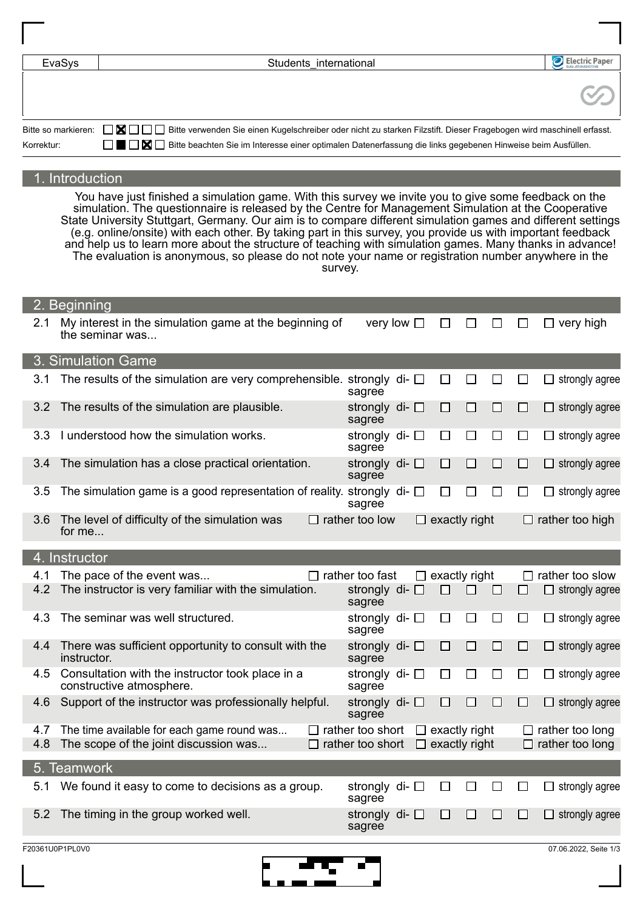| EvaSys     | Electric Paper<br>Students international                                                                                                            |  |
|------------|-----------------------------------------------------------------------------------------------------------------------------------------------------|--|
|            |                                                                                                                                                     |  |
|            | Bitte so markieren: <b>NIP</b> Bitte verwenden Sie einen Kugelschreiber oder nicht zu starken Filzstift. Dieser Fragebogen wird maschinell erfasst. |  |
| Korrektur: | <b>TIME</b> Bitte beachten Sie im Interesse einer optimalen Datenerfassung die links gegebenen Hinweise beim Ausfüllen.                             |  |

## 1. Introduction

You have just finished a simulation game. With this survey we invite you to give some feedback on the simulation. The questionnaire is released by the Centre for Management Simulation at the Cooperative State University Stuttgart, Germany. Our aim is to compare different simulation games and different settings (e.g. online/onsite) with each other. By taking part in this survey, you provide us with important feedback and help us to learn more about the structure of teaching with simulation games. Many thanks in advance! The evaluation is anonymous, so please do not note your name or registration number anywhere in the survey.

|     | 2. Beginning                                                                    |                                  |        |                      |        |               |                          |                          |
|-----|---------------------------------------------------------------------------------|----------------------------------|--------|----------------------|--------|---------------|--------------------------|--------------------------|
| 2.1 | My interest in the simulation game at the beginning of<br>the seminar was       | very low $\square$               |        | ⊔                    | ப      | $\Box$        | $\Box$                   | $\Box$ very high         |
|     | 3. Simulation Game                                                              |                                  |        |                      |        |               |                          |                          |
| 3.1 | The results of the simulation are very comprehensible. strongly di- $\Box$      | sagree                           |        | $\Box$               | □      | $\Box$        | $\Box$                   | $\Box$ strongly agree    |
| 3.2 | The results of the simulation are plausible.                                    | strongly di- $\square$<br>sagree |        | □                    | □      | $\Box$        | $\Box$                   | $\Box$ strongly agree    |
| 3.3 | I understood how the simulation works.                                          | strongly di- $\square$<br>sagree |        | $\Box$               | П      | П             | $\Box$                   | strongly agree<br>$\Box$ |
| 3.4 | The simulation has a close practical orientation.                               | strongly di- $\square$<br>sagree |        | $\Box$               | $\Box$ | $\Box$        | $\Box$                   | $\Box$ strongly agree    |
| 3.5 | The simulation game is a good representation of reality. strongly di- $\square$ | sagree                           |        | □                    | ΙI     | $\Box$        | $\Box$                   | strongly agree<br>$\Box$ |
| 3.6 | The level of difficulty of the simulation was<br>for me                         | $\Box$ rather too low            | $\Box$ | exactly right        |        |               |                          | $\Box$ rather too high   |
|     | 4. Instructor                                                                   |                                  |        |                      |        |               |                          |                          |
| 4.1 | The pace of the event was                                                       | $\Box$ rather too fast           | $\Box$ | exactly right        |        |               | $\Box$                   | rather too slow          |
| 4.2 | The instructor is very familiar with the simulation.                            | strongly di- $\square$<br>sagree |        | $\Box$               | П      | □             | $\Box$                   | $\Box$ strongly agree    |
| 4.3 | The seminar was well structured.                                                | strongly di- $\square$<br>sagree |        | □                    | $\Box$ | $\mathcal{L}$ | $\overline{\phantom{a}}$ | $\Box$ strongly agree    |
| 4.4 | There was sufficient opportunity to consult with the<br>instructor.             | strongly di- $\square$<br>sagree |        | $\Box$               | □      | $\Box$        | $\Box$                   | strongly agree<br>ப      |
| 4.5 | Consultation with the instructor took place in a<br>constructive atmosphere.    | strongly di- $\square$<br>sagree |        | П                    | П      | П             | $\Box$                   | strongly agree<br>LI     |
| 4.6 | Support of the instructor was professionally helpful.                           | strongly di- $\square$<br>sagree |        | □                    | □      | $\Box$        | $\Box$                   | strongly agree<br>□      |
| 4.7 | The time available for each game round was                                      | $\Box$ rather too short          |        | $\Box$ exactly right |        |               |                          | $\Box$ rather too long   |
| 4.8 | The scope of the joint discussion was                                           | $\Box$ rather too short          |        | $\Box$ exactly right |        |               |                          | $\Box$ rather too long   |
|     | 5. Teamwork                                                                     |                                  |        |                      |        |               |                          |                          |
| 5.1 | We found it easy to come to decisions as a group.                               | strongly di- $\Box$<br>sagree    |        | $\Box$               | $\Box$ | ⊔             | ⊔                        | $\Box$ strongly agree    |
| 5.2 | The timing in the group worked well.                                            | strongly di- $\square$<br>sagree |        | □                    | □      | $\Box$        | $\Box$                   | $\Box$ strongly agree    |
|     | F20361U0P1PL0V0                                                                 |                                  |        |                      |        |               |                          | 07.06.2022, Seite 1/3    |

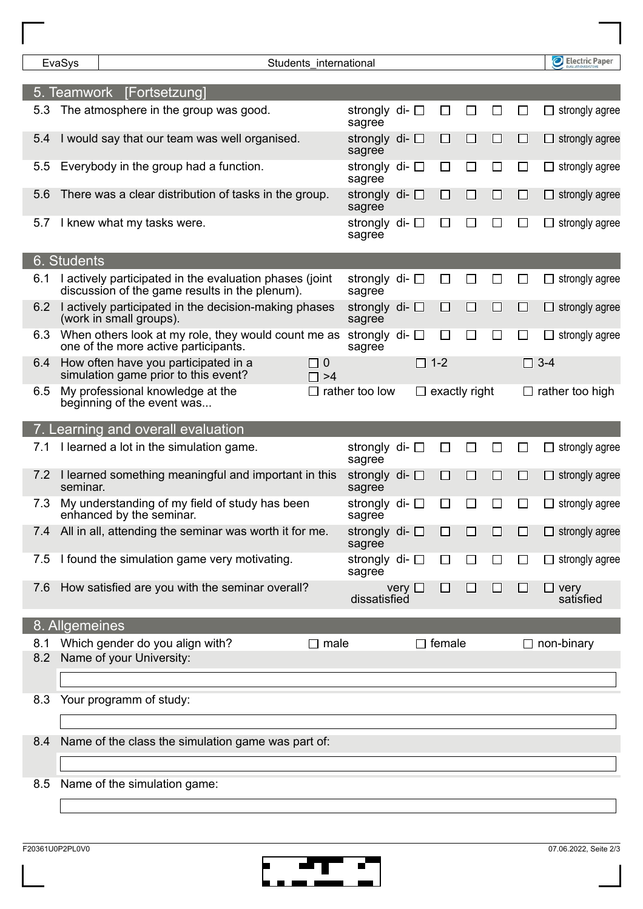|            | EvaSys         |                                                                                                           | Students_international |                       |                                  |             |                      |        |        |        |               | Electric Paper           |
|------------|----------------|-----------------------------------------------------------------------------------------------------------|------------------------|-----------------------|----------------------------------|-------------|----------------------|--------|--------|--------|---------------|--------------------------|
|            |                | 5. Teamwork [Fortsetzung]                                                                                 |                        |                       |                                  |             |                      |        |        |        |               |                          |
| 5.3        |                | The atmosphere in the group was good.                                                                     |                        |                       | strongly di- $\square$<br>sagree |             | ப                    |        | $\sim$ | □      |               | strongly agree           |
| 5.4        |                | would say that our team was well organised.                                                               |                        |                       | strongly di- $\square$<br>sagree |             | □                    | $\Box$ | $\Box$ | □      |               | strongly agree           |
| 5.5        |                | Everybody in the group had a function.                                                                    |                        |                       | strongly di- $\square$<br>sagree |             | П                    | $\Box$ | $\Box$ | □      |               | strongly agree           |
| 5.6        |                | There was a clear distribution of tasks in the group.                                                     |                        |                       | strongly di- $\square$<br>sagree |             | □                    | □      | □      | □      |               | strongly agree           |
| 5.7        |                | I knew what my tasks were.                                                                                |                        |                       | strongly di- $\square$<br>sagree |             | □                    | $\Box$ | $\Box$ | $\Box$ |               | strongly agree           |
|            | 6. Students    |                                                                                                           |                        |                       |                                  |             |                      |        |        |        |               |                          |
| 6.1        |                | I actively participated in the evaluation phases (joint<br>discussion of the game results in the plenum). |                        |                       | strongly di- $\square$<br>sagree |             | $\Box$               |        | $\sim$ | $\Box$ |               | strongly agree           |
| 6.2        |                | I actively participated in the decision-making phases<br>(work in small groups).                          |                        |                       | strongly di- $\square$<br>sagree |             | $\Box$               | □      | $\Box$ | □      |               | strongly agree           |
| 6.3        |                | When others look at my role, they would count me as<br>one of the more active participants.               |                        |                       | strongly di- $\square$<br>sagree |             | $\Box$               | $\Box$ | $\Box$ | $\Box$ |               | strongly agree           |
| 6.4        |                | How often have you participated in a<br>simulation game prior to this event?                              |                        | $\Box$ 0<br>$\Box$ >4 |                                  |             | $\Box$ 1-2           |        |        |        | $\square$ 3-4 |                          |
| 6.5        |                | My professional knowledge at the<br>beginning of the event was                                            |                        | □                     | rather too low                   |             | $\Box$ exactly right |        |        | $\Box$ |               | rather too high          |
|            |                | 7. Learning and overall evaluation                                                                        |                        |                       |                                  |             |                      |        |        |        |               |                          |
| 7.1        |                | I learned a lot in the simulation game.                                                                   |                        |                       | strongly di- $\square$<br>sagree |             | $\Box$               |        | $\sim$ | □      |               | strongly agree           |
| 7.2        | seminar.       | I learned something meaningful and important in this                                                      |                        |                       | strongly di- $\square$<br>sagree |             | $\Box$               | $\Box$ | $\Box$ | □      |               | strongly agree           |
| 7.3        |                | My understanding of my field of study has been<br>enhanced by the seminar.                                |                        |                       | strongly di- $\Box$<br>sagree    |             | $\Box$               | $\Box$ | $\Box$ | $\Box$ |               | strongly agree           |
| 7.4        |                | All in all, attending the seminar was worth it for me.                                                    |                        |                       | strongly di- □<br>sagree         |             |                      |        |        |        |               | strongly agree           |
| 7.5        |                | I found the simulation game very motivating.                                                              |                        |                       | strongly di- $\square$<br>sagree |             | $\Box$               | ΙI     | ΙI     | $\Box$ |               | $\Box$ strongly agree    |
| 7.6        |                | How satisfied are you with the seminar overall?                                                           |                        |                       | dissatisfied                     | very $\Box$ | $\Box$               | $\Box$ | □      | $\Box$ |               | $\Box$ very<br>satisfied |
|            | 8. Allgemeines |                                                                                                           |                        |                       |                                  |             |                      |        |        |        |               |                          |
| 8.1<br>8.2 |                | Which gender do you align with?<br>Name of your University:                                               |                        | $\square$ male        |                                  |             | $\Box$ female        |        |        |        |               | $\Box$ non-binary        |
|            |                |                                                                                                           |                        |                       |                                  |             |                      |        |        |        |               |                          |
| 8.3        |                | Your programm of study:                                                                                   |                        |                       |                                  |             |                      |        |        |        |               |                          |
| 8.4        |                | Name of the class the simulation game was part of:                                                        |                        |                       |                                  |             |                      |        |        |        |               |                          |
|            |                |                                                                                                           |                        |                       |                                  |             |                      |        |        |        |               |                          |
| 8.5        |                | Name of the simulation game:                                                                              |                        |                       |                                  |             |                      |        |        |        |               |                          |